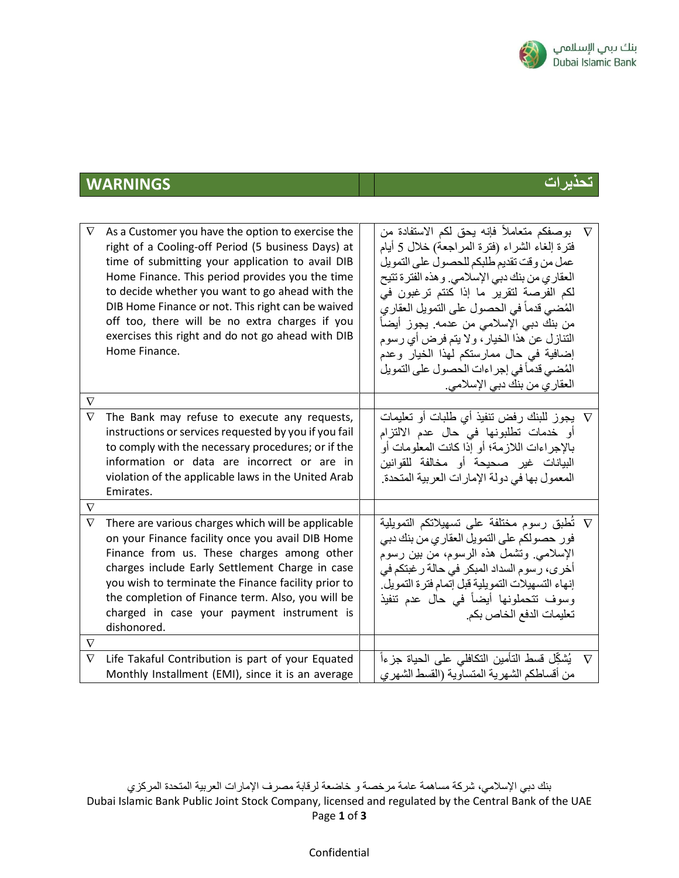

## **تحذيرات WARNINGS**

| $\nabla$ | As a Customer you have the option to exercise the<br>right of a Cooling-off Period (5 business Days) at<br>time of submitting your application to avail DIB<br>Home Finance. This period provides you the time<br>to decide whether you want to go ahead with the<br>DIB Home Finance or not. This right can be waived<br>off too, there will be no extra charges if you<br>exercises this right and do not go ahead with DIB<br>Home Finance. | بوصفكم متعاملاً فإنه يحق لكم الاستفادة من $\nabla$<br>فترة إلغاء الشراء (فترة المراجعة) خلال 5 أيام<br>عمل من وقت تقديم طلبكم للحصول على التمويل<br>العقاري من بنك دبي الإسلامي. و هذه الفترة تتيح<br>لكم الفرصة لتقرير ما إذا كنتم ترغبون في<br>الْمُضيي قدماً في الحصول على التمويل العقاري<br>من بنك دبي الإسلامي من عدمه. يجوز أيضاً<br>التنازل عن هذا الخيار ، ولا يتم فرض أي رسوم<br>إضافية في حال ممارستكم لهذا الخيار وعدم<br>المُضيي قدماً في إجراءات الحصول على التمويل<br>العقاري من بنك دبي الإسلامي. |          |
|----------|------------------------------------------------------------------------------------------------------------------------------------------------------------------------------------------------------------------------------------------------------------------------------------------------------------------------------------------------------------------------------------------------------------------------------------------------|-------------------------------------------------------------------------------------------------------------------------------------------------------------------------------------------------------------------------------------------------------------------------------------------------------------------------------------------------------------------------------------------------------------------------------------------------------------------------------------------------------------------|----------|
| $\nabla$ |                                                                                                                                                                                                                                                                                                                                                                                                                                                |                                                                                                                                                                                                                                                                                                                                                                                                                                                                                                                   |          |
| $\nabla$ | The Bank may refuse to execute any requests,<br>instructions or services requested by you if you fail<br>to comply with the necessary procedures; or if the<br>information or data are incorrect or are in<br>violation of the applicable laws in the United Arab<br>Emirates.                                                                                                                                                                 | V   يجوز للبنك رفض ننفيذ أي طلبات أو نعليمات<br>أو خدمات تطلبونها في حال عدم الالتزام<br>بالإجراءات اللازمة؛ أو إذا كانت المعلومات أو<br>البيانات غير صحيحة أو مخالفة للقوانين<br>المعمول بها في دولة الإمارات العربية المتحدة.                                                                                                                                                                                                                                                                                   |          |
| $\nabla$ |                                                                                                                                                                                                                                                                                                                                                                                                                                                |                                                                                                                                                                                                                                                                                                                                                                                                                                                                                                                   |          |
| $\nabla$ | There are various charges which will be applicable<br>on your Finance facility once you avail DIB Home<br>Finance from us. These charges among other<br>charges include Early Settlement Charge in case<br>you wish to terminate the Finance facility prior to<br>the completion of Finance term. Also, you will be<br>charged in case your payment instrument is<br>dishonored.                                                               | تُطبق رسوم مختلفة على تسهيلاتكم التمويلية $\nabla$<br>فور حصولكم على التمويل العقاري من بنك دبي<br>الإسلامي وتشمل هذه الرسوم، من بين رسوم<br>أخرى، رسوم السداد المبكر في حالة ر غبتكم في<br>إنهاء التسهيلات التمويلية قبل إتمام فترة التمويل.<br>وسوف نتحملونها أيضاً في حال عدم تنفيذ<br>تعليمات الدفع الخاص بكم.                                                                                                                                                                                                |          |
| $\nabla$ |                                                                                                                                                                                                                                                                                                                                                                                                                                                |                                                                                                                                                                                                                                                                                                                                                                                                                                                                                                                   |          |
| $\nabla$ | Life Takaful Contribution is part of your Equated<br>Monthly Installment (EMI), since it is an average                                                                                                                                                                                                                                                                                                                                         | يُشكِّل قسط التأمين التكافلي على الحياة جزءاً<br>من أقساطكم الشهرية المتساوية (القسط الشهري                                                                                                                                                                                                                                                                                                                                                                                                                       | $\nabla$ |

بنك دبي اإلسالمي، شركة مساهمة عامة مرخصة و خاضعة لرقابة مصرف اإلمارات العربية المتحدة المركزي Dubai Islamic Bank Public Joint Stock Company, licensed and regulated by the Central Bank of the UAE Page **1** of **3**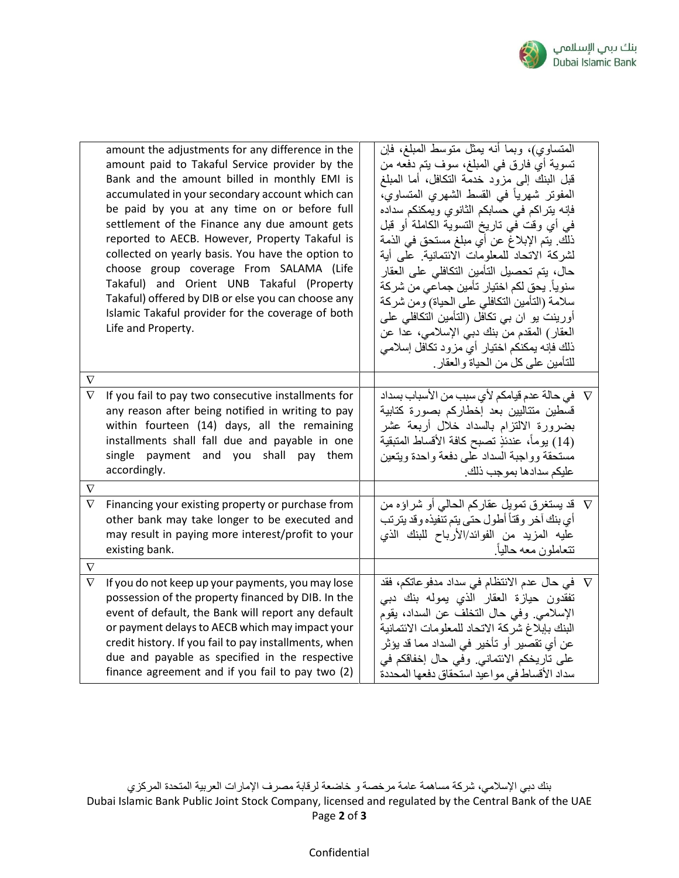

| $\nabla$ | amount the adjustments for any difference in the<br>amount paid to Takaful Service provider by the<br>Bank and the amount billed in monthly EMI is<br>accumulated in your secondary account which can<br>be paid by you at any time on or before full<br>settlement of the Finance any due amount gets<br>reported to AECB. However, Property Takaful is<br>collected on yearly basis. You have the option to<br>choose group coverage From SALAMA (Life<br>Takaful) and Orient UNB Takaful (Property<br>Takaful) offered by DIB or else you can choose any<br>Islamic Takaful provider for the coverage of both<br>Life and Property. | المتساوي)، وبما أنه بمثل متوسط المبلغ، فإن<br>تسوية أي فارق في المبلغ، سوف يتم دفعه من<br>قبل البنك إلى مزود خدمة النكافل، أما المبلغ<br>المفوتر شهرياً في القسط الشهري المتساوي،<br>فإنه يتراكم في حسابكم الثانوي ويمكنكم سداده<br>في أي وقت في تاريخ التسوية الكاملة أو قبل<br>ذلك. يتم الإبلاغ عن أي مبلغ مستحق في الذمة<br>لشركة الاتحاد للمعلومات الائتمانية. على أية<br>حال، يتم تحصيل التأمين التكافلي على العقار<br>سنوياً. يحق لكم اختيار تأمين جماعي من شركة<br>سلامة (التأمين التكافلي على الحياة) ومن شركة<br>أورينت يو ان بي تكافل (التأمين التكافلي على<br>العقار) المقدم من بنك دبي الإسلامي، عدا عن<br>ذلك فإنه يمكنكم اختيار أي مزود تكافل إسلامي<br>للتأمين على كل من الحياة والعقار . |  |
|----------|----------------------------------------------------------------------------------------------------------------------------------------------------------------------------------------------------------------------------------------------------------------------------------------------------------------------------------------------------------------------------------------------------------------------------------------------------------------------------------------------------------------------------------------------------------------------------------------------------------------------------------------|----------------------------------------------------------------------------------------------------------------------------------------------------------------------------------------------------------------------------------------------------------------------------------------------------------------------------------------------------------------------------------------------------------------------------------------------------------------------------------------------------------------------------------------------------------------------------------------------------------------------------------------------------------------------------------------------------------|--|
| $\nabla$ | If you fail to pay two consecutive installments for<br>any reason after being notified in writing to pay<br>within fourteen (14) days, all the remaining<br>installments shall fall due and payable in one<br>single payment and you shall pay them<br>accordingly.                                                                                                                                                                                                                                                                                                                                                                    | في حالة عدم قيامكم لأي سبب من الأسباب بسداد $\nabla$<br>قسطين متتاليين بعد إخطاركم بصورة كتابية<br>بضرورة الالتزام بالسداد خلال أربعة عشر<br>(14) يوماً، عندئذٍ تصبح كافة الأقساط المتبقية<br>مستحقة وواجبة السداد على دفعة واحدة ويتعين<br>عليكم سدادها بموجب ذلك.                                                                                                                                                                                                                                                                                                                                                                                                                                      |  |
| $\nabla$ |                                                                                                                                                                                                                                                                                                                                                                                                                                                                                                                                                                                                                                        |                                                                                                                                                                                                                                                                                                                                                                                                                                                                                                                                                                                                                                                                                                          |  |
| $\nabla$ | Financing your existing property or purchase from<br>other bank may take longer to be executed and<br>may result in paying more interest/profit to your<br>existing bank.                                                                                                                                                                                                                                                                                                                                                                                                                                                              | ∇   قد يستغرق تمويل عقاركم الحالي أو شراؤه من<br>أي بنك آخر وقتاً أطول حتى يتم تنفيذه وقد يترتب<br>عليه المزيد من الفوائد/الأرباح للبنك الذي<br>تتعاملون معه حالياً.                                                                                                                                                                                                                                                                                                                                                                                                                                                                                                                                     |  |
| $\nabla$ |                                                                                                                                                                                                                                                                                                                                                                                                                                                                                                                                                                                                                                        |                                                                                                                                                                                                                                                                                                                                                                                                                                                                                                                                                                                                                                                                                                          |  |
| $\nabla$ | If you do not keep up your payments, you may lose<br>possession of the property financed by DIB. In the<br>event of default, the Bank will report any default<br>or payment delays to AECB which may impact your<br>credit history. If you fail to pay installments, when<br>due and payable as specified in the respective<br>finance agreement and if you fail to pay two (2)                                                                                                                                                                                                                                                        | في حال عدم الانتظام في سداد مدفو عاتكم، فقد $\nabla$<br>تفقدون حيازة العقار الذي يموله بنك دبي<br>الإسلامي وفي حال التخلف عن السداد، يقوم<br>البنك بإبلاغ شركة الاتحاد للمعلومات الائتمانية<br>عن أي تقصير أو تأخير في السداد مما قد يؤثر<br>على تاريخكم الائتماني. وفي حال إخفاقكم في<br>سداد الأقساط في مواعيد استحقاق دفعها المحددة                                                                                                                                                                                                                                                                                                                                                                   |  |

بنك دبي اإلسالمي، شركة مساهمة عامة مرخصة و خاضعة لرقابة مصرف اإلمارات العربية المتحدة المركزي Dubai Islamic Bank Public Joint Stock Company, licensed and regulated by the Central Bank of the UAE Page **2** of **3**